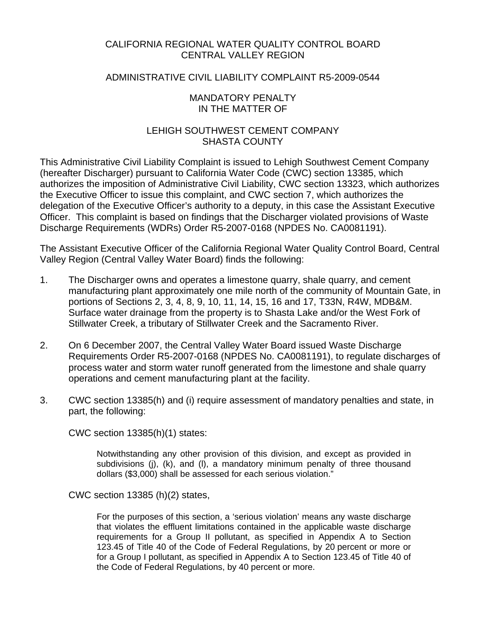## CALIFORNIA REGIONAL WATER QUALITY CONTROL BOARD CENTRAL VALLEY REGION

#### ADMINISTRATIVE CIVIL LIABILITY COMPLAINT R5-2009-0544

#### MANDATORY PENALTY IN THE MATTER OF

## LEHIGH SOUTHWEST CEMENT COMPANY SHASTA COUNTY

This Administrative Civil Liability Complaint is issued to Lehigh Southwest Cement Company (hereafter Discharger) pursuant to California Water Code (CWC) section 13385, which authorizes the imposition of Administrative Civil Liability, CWC section 13323, which authorizes the Executive Officer to issue this complaint, and CWC section 7, which authorizes the delegation of the Executive Officer's authority to a deputy, in this case the Assistant Executive Officer. This complaint is based on findings that the Discharger violated provisions of Waste Discharge Requirements (WDRs) Order R5-2007-0168 (NPDES No. CA0081191).

The Assistant Executive Officer of the California Regional Water Quality Control Board, Central Valley Region (Central Valley Water Board) finds the following:

- 1. The Discharger owns and operates a limestone quarry, shale quarry, and cement manufacturing plant approximately one mile north of the community of Mountain Gate, in portions of Sections 2, 3, 4, 8, 9, 10, 11, 14, 15, 16 and 17, T33N, R4W, MDB&M. Surface water drainage from the property is to Shasta Lake and/or the West Fork of Stillwater Creek, a tributary of Stillwater Creek and the Sacramento River.
- 2. On 6 December 2007, the Central Valley Water Board issued Waste Discharge Requirements Order R5-2007-0168 (NPDES No. CA0081191), to regulate discharges of process water and storm water runoff generated from the limestone and shale quarry operations and cement manufacturing plant at the facility.
- 3. CWC section 13385(h) and (i) require assessment of mandatory penalties and state, in part, the following:

CWC section 13385(h)(1) states:

Notwithstanding any other provision of this division, and except as provided in subdivisions (j), (k), and (l), a mandatory minimum penalty of three thousand dollars (\$3,000) shall be assessed for each serious violation."

CWC section 13385 (h)(2) states,

For the purposes of this section, a 'serious violation' means any waste discharge that violates the effluent limitations contained in the applicable waste discharge requirements for a Group II pollutant, as specified in Appendix A to Section 123.45 of Title 40 of the Code of Federal Regulations, by 20 percent or more or for a Group I pollutant, as specified in Appendix A to Section 123.45 of Title 40 of the Code of Federal Regulations, by 40 percent or more.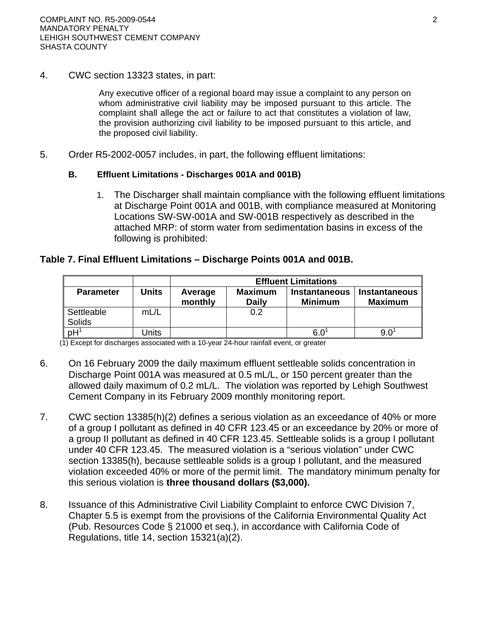4. CWC section 13323 states, in part:

Any executive officer of a regional board may issue a complaint to any person on whom administrative civil liability may be imposed pursuant to this article. The complaint shall allege the act or failure to act that constitutes a violation of law, the provision authorizing civil liability to be imposed pursuant to this article, and the proposed civil liability.

5. Order R5-2002-0057 includes, in part, the following effluent limitations:

#### **B. Effluent Limitations - Discharges 001A and 001B)**

1. The Discharger shall maintain compliance with the following effluent limitations at Discharge Point 001A and 001B, with compliance measured at Monitoring Locations SW-SW-001A and SW-001B respectively as described in the attached MRP: of storm water from sedimentation basins in excess of the following is prohibited:

## **Table 7. Final Effluent Limitations – Discharge Points 001A and 001B.**

|                      |              | <b>Effluent Limitations</b> |                                |                                        |                                        |
|----------------------|--------------|-----------------------------|--------------------------------|----------------------------------------|----------------------------------------|
| <b>Parameter</b>     | <b>Units</b> | Average<br>monthly          | <b>Maximum</b><br><b>Daily</b> | <b>Instantaneous</b><br><b>Minimum</b> | <b>Instantaneous</b><br><b>Maximum</b> |
| Settleable<br>Solids | mL/L         |                             | 0.2                            |                                        |                                        |
| pH                   | Jnits        |                             |                                | 6.C                                    |                                        |

(1) Except for discharges associated with a 10-year 24-hour rainfall event, or greater

- 6. On 16 February 2009 the daily maximum effluent settleable solids concentration in Discharge Point 001A was measured at 0.5 mL/L, or 150 percent greater than the allowed daily maximum of 0.2 mL/L. The violation was reported by Lehigh Southwest Cement Company in its February 2009 monthly monitoring report.
- 7. CWC section 13385(h)(2) defines a serious violation as an exceedance of 40% or more of a group I pollutant as defined in 40 CFR 123.45 or an exceedance by 20% or more of a group II pollutant as defined in 40 CFR 123.45. Settleable solids is a group I pollutant under 40 CFR 123.45. The measured violation is a "serious violation" under CWC section 13385(h), because settleable solids is a group I pollutant, and the measured violation exceeded 40% or more of the permit limit. The mandatory minimum penalty for this serious violation is **three thousand dollars (\$3,000).**
- 8. Issuance of this Administrative Civil Liability Complaint to enforce CWC Division 7, Chapter 5.5 is exempt from the provisions of the California Environmental Quality Act (Pub. Resources Code § 21000 et seq.), in accordance with California Code of Regulations, title 14, section 15321(a)(2).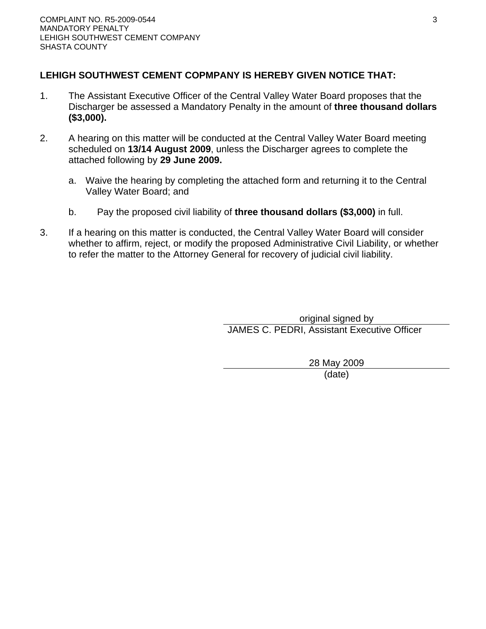# **LEHIGH SOUTHWEST CEMENT COPMPANY IS HEREBY GIVEN NOTICE THAT:**

- 1. The Assistant Executive Officer of the Central Valley Water Board proposes that the Discharger be assessed a Mandatory Penalty in the amount of **three thousand dollars (\$3,000).**
- 2. A hearing on this matter will be conducted at the Central Valley Water Board meeting scheduled on **13/14 August 2009**, unless the Discharger agrees to complete the attached following by **29 June 2009.**
	- a. Waive the hearing by completing the attached form and returning it to the Central Valley Water Board; and
	- b. Pay the proposed civil liability of **three thousand dollars (\$3,000)** in full.
- 3. If a hearing on this matter is conducted, the Central Valley Water Board will consider whether to affirm, reject, or modify the proposed Administrative Civil Liability, or whether to refer the matter to the Attorney General for recovery of judicial civil liability.

original signed by JAMES C. PEDRI, Assistant Executive Officer

> 28 May 2009 (date)